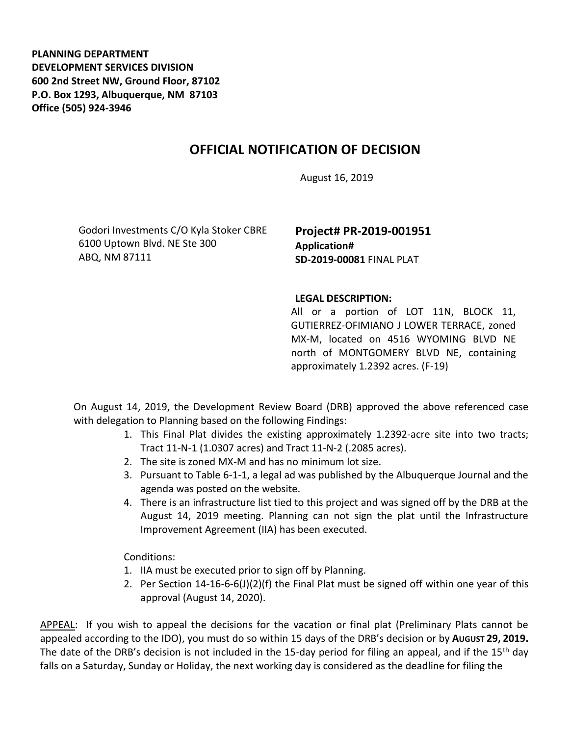**PLANNING DEPARTMENT DEVELOPMENT SERVICES DIVISION 600 2nd Street NW, Ground Floor, 87102 P.O. Box 1293, Albuquerque, NM 87103 Office (505) 924-3946** 

## **OFFICIAL NOTIFICATION OF DECISION**

August 16, 2019

Godori Investments C/O Kyla Stoker CBRE 6100 Uptown Blvd. NE Ste 300 ABQ, NM 87111

**Project# PR-2019-001951 Application# SD-2019-00081** FINAL PLAT

## **LEGAL DESCRIPTION:**

All or a portion of LOT 11N, BLOCK 11, GUTIERREZ-OFIMIANO J LOWER TERRACE, zoned MX-M, located on 4516 WYOMING BLVD NE north of MONTGOMERY BLVD NE, containing approximately 1.2392 acres. (F-19)

On August 14, 2019, the Development Review Board (DRB) approved the above referenced case with delegation to Planning based on the following Findings:

- 1. This Final Plat divides the existing approximately 1.2392-acre site into two tracts; Tract 11-N-1 (1.0307 acres) and Tract 11-N-2 (.2085 acres).
- 2. The site is zoned MX-M and has no minimum lot size.
- 3. Pursuant to Table 6-1-1, a legal ad was published by the Albuquerque Journal and the agenda was posted on the website.
- 4. There is an infrastructure list tied to this project and was signed off by the DRB at the August 14, 2019 meeting. Planning can not sign the plat until the Infrastructure Improvement Agreement (IIA) has been executed.

Conditions:

- 1. IIA must be executed prior to sign off by Planning.
- 2. Per Section 14-16-6-6(J)(2)(f) the Final Plat must be signed off within one year of this approval (August 14, 2020).

APPEAL: If you wish to appeal the decisions for the vacation or final plat (Preliminary Plats cannot be appealed according to the IDO), you must do so within 15 days of the DRB's decision or by **AUGUST 29, 2019.**  The date of the DRB's decision is not included in the 15-day period for filing an appeal, and if the 15<sup>th</sup> day falls on a Saturday, Sunday or Holiday, the next working day is considered as the deadline for filing the